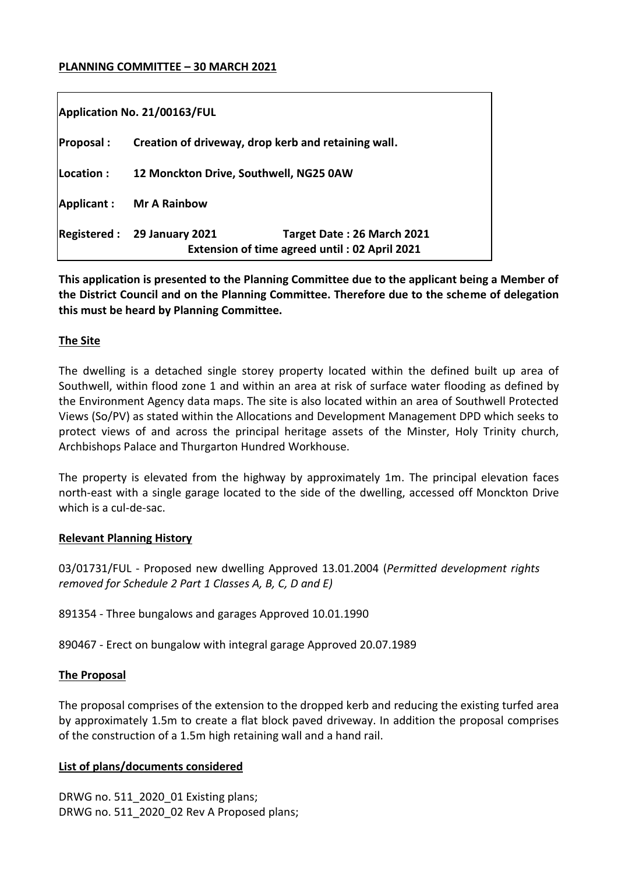#### **PLANNING COMMITTEE – 30 MARCH 2021**

| Application No. 21/00163/FUL |                                                     |                                                                                    |
|------------------------------|-----------------------------------------------------|------------------------------------------------------------------------------------|
| <b>Proposal:</b>             | Creation of driveway, drop kerb and retaining wall. |                                                                                    |
| Location :                   | 12 Monckton Drive, Southwell, NG25 0AW              |                                                                                    |
| Applicant:                   | <b>Mr A Rainbow</b>                                 |                                                                                    |
| $\sf Registered:$            | <b>29 January 2021</b>                              | Target Date: 26 March 2021<br><b>Extension of time agreed until: 02 April 2021</b> |

**This application is presented to the Planning Committee due to the applicant being a Member of the District Council and on the Planning Committee. Therefore due to the scheme of delegation this must be heard by Planning Committee.**

### **The Site**

The dwelling is a detached single storey property located within the defined built up area of Southwell, within flood zone 1 and within an area at risk of surface water flooding as defined by the Environment Agency data maps. The site is also located within an area of Southwell Protected Views (So/PV) as stated within the Allocations and Development Management DPD which seeks to protect views of and across the principal heritage assets of the Minster, Holy Trinity church, Archbishops Palace and Thurgarton Hundred Workhouse.

The property is elevated from the highway by approximately 1m. The principal elevation faces north-east with a single garage located to the side of the dwelling, accessed off Monckton Drive which is a cul-de-sac.

### **Relevant Planning History**

03/01731/FUL - Proposed new dwelling Approved 13.01.2004 (*Permitted development rights removed for Schedule 2 Part 1 Classes A, B, C, D and E)*

891354 - Three bungalows and garages Approved 10.01.1990

890467 - Erect on bungalow with integral garage Approved 20.07.1989

### **The Proposal**

The proposal comprises of the extension to the dropped kerb and reducing the existing turfed area by approximately 1.5m to create a flat block paved driveway. In addition the proposal comprises of the construction of a 1.5m high retaining wall and a hand rail.

### **List of plans/documents considered**

DRWG no. 511\_2020\_01 Existing plans; DRWG no. 511\_2020\_02 Rev A Proposed plans;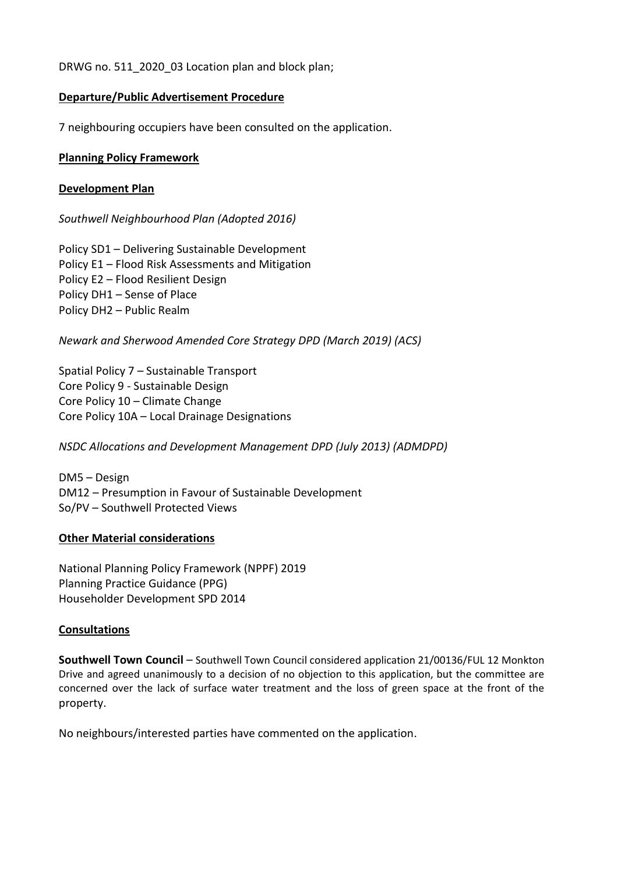DRWG no. 511\_2020\_03 Location plan and block plan;

### **Departure/Public Advertisement Procedure**

7 neighbouring occupiers have been consulted on the application.

### **Planning Policy Framework**

### **Development Plan**

*Southwell Neighbourhood Plan (Adopted 2016)*

Policy SD1 – Delivering Sustainable Development Policy E1 – Flood Risk Assessments and Mitigation Policy E2 – Flood Resilient Design Policy DH1 – Sense of Place Policy DH2 – Public Realm

*Newark and Sherwood Amended Core Strategy DPD (March 2019) (ACS)*

Spatial Policy 7 – Sustainable Transport Core Policy 9 - Sustainable Design Core Policy 10 – Climate Change Core Policy 10A – Local Drainage Designations

*NSDC Allocations and Development Management DPD (July 2013) (ADMDPD)*

DM5 – Design DM12 – Presumption in Favour of Sustainable Development So/PV – Southwell Protected Views

### **Other Material considerations**

National Planning Policy Framework (NPPF) 2019 Planning Practice Guidance (PPG) Householder Development SPD 2014

### **Consultations**

**Southwell Town Council** – Southwell Town Council considered application 21/00136/FUL 12 Monkton Drive and agreed unanimously to a decision of no objection to this application, but the committee are concerned over the lack of surface water treatment and the loss of green space at the front of the property.

No neighbours/interested parties have commented on the application.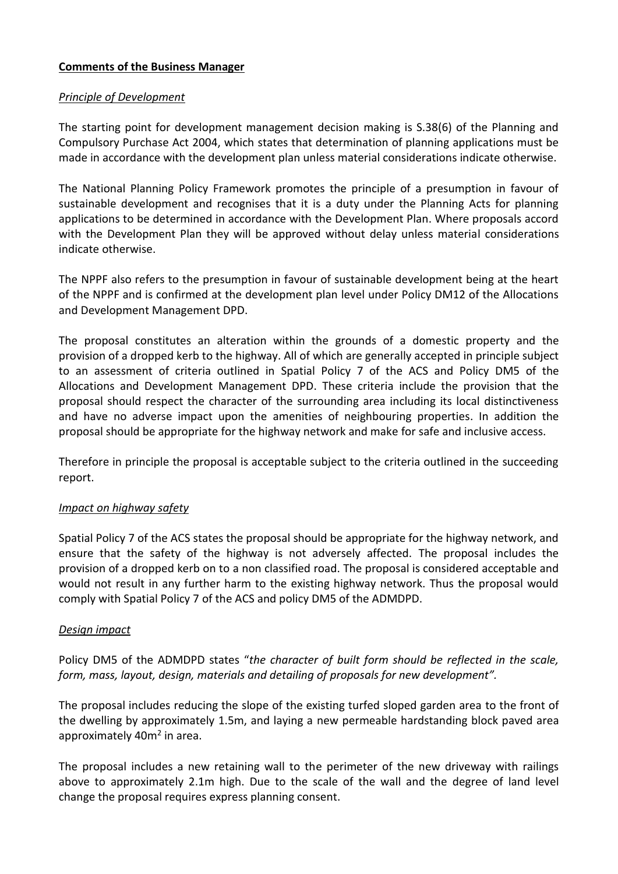### **Comments of the Business Manager**

### *Principle of Development*

The starting point for development management decision making is S.38(6) of the Planning and Compulsory Purchase Act 2004, which states that determination of planning applications must be made in accordance with the development plan unless material considerations indicate otherwise.

The National Planning Policy Framework promotes the principle of a presumption in favour of sustainable development and recognises that it is a duty under the Planning Acts for planning applications to be determined in accordance with the Development Plan. Where proposals accord with the Development Plan they will be approved without delay unless material considerations indicate otherwise.

The NPPF also refers to the presumption in favour of sustainable development being at the heart of the NPPF and is confirmed at the development plan level under Policy DM12 of the Allocations and Development Management DPD.

The proposal constitutes an alteration within the grounds of a domestic property and the provision of a dropped kerb to the highway. All of which are generally accepted in principle subject to an assessment of criteria outlined in Spatial Policy 7 of the ACS and Policy DM5 of the Allocations and Development Management DPD. These criteria include the provision that the proposal should respect the character of the surrounding area including its local distinctiveness and have no adverse impact upon the amenities of neighbouring properties. In addition the proposal should be appropriate for the highway network and make for safe and inclusive access.

Therefore in principle the proposal is acceptable subject to the criteria outlined in the succeeding report.

# *Impact on highway safety*

Spatial Policy 7 of the ACS states the proposal should be appropriate for the highway network, and ensure that the safety of the highway is not adversely affected. The proposal includes the provision of a dropped kerb on to a non classified road. The proposal is considered acceptable and would not result in any further harm to the existing highway network. Thus the proposal would comply with Spatial Policy 7 of the ACS and policy DM5 of the ADMDPD.

### *Design impact*

Policy DM5 of the ADMDPD states "*the character of built form should be reflected in the scale, form, mass, layout, design, materials and detailing of proposals for new development".* 

The proposal includes reducing the slope of the existing turfed sloped garden area to the front of the dwelling by approximately 1.5m, and laying a new permeable hardstanding block paved area approximately 40m<sup>2</sup> in area.

The proposal includes a new retaining wall to the perimeter of the new driveway with railings above to approximately 2.1m high. Due to the scale of the wall and the degree of land level change the proposal requires express planning consent.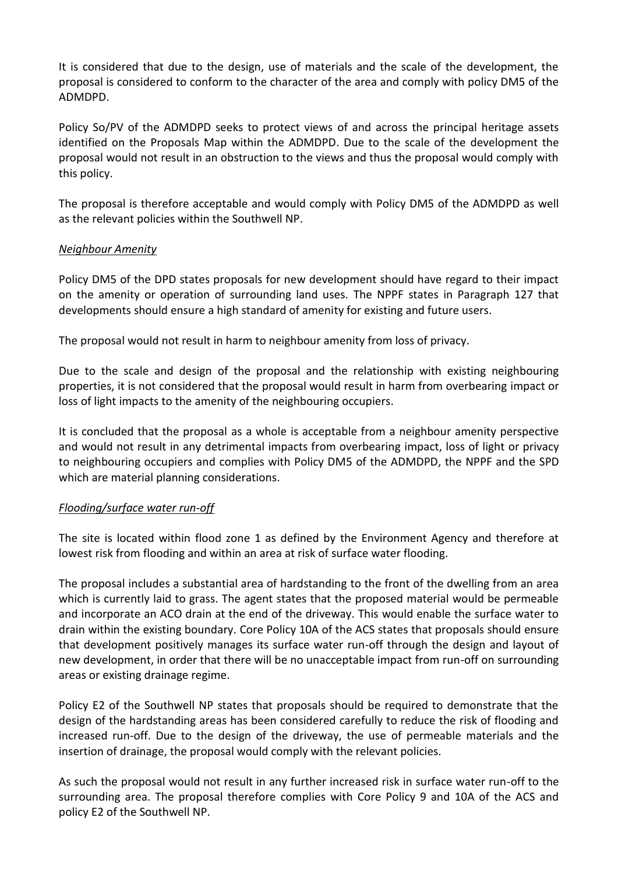It is considered that due to the design, use of materials and the scale of the development, the proposal is considered to conform to the character of the area and comply with policy DM5 of the ADMDPD.

Policy So/PV of the ADMDPD seeks to protect views of and across the principal heritage assets identified on the Proposals Map within the ADMDPD. Due to the scale of the development the proposal would not result in an obstruction to the views and thus the proposal would comply with this policy.

The proposal is therefore acceptable and would comply with Policy DM5 of the ADMDPD as well as the relevant policies within the Southwell NP.

# *Neighbour Amenity*

Policy DM5 of the DPD states proposals for new development should have regard to their impact on the amenity or operation of surrounding land uses. The NPPF states in Paragraph 127 that developments should ensure a high standard of amenity for existing and future users.

The proposal would not result in harm to neighbour amenity from loss of privacy.

Due to the scale and design of the proposal and the relationship with existing neighbouring properties, it is not considered that the proposal would result in harm from overbearing impact or loss of light impacts to the amenity of the neighbouring occupiers.

It is concluded that the proposal as a whole is acceptable from a neighbour amenity perspective and would not result in any detrimental impacts from overbearing impact, loss of light or privacy to neighbouring occupiers and complies with Policy DM5 of the ADMDPD, the NPPF and the SPD which are material planning considerations.

### *Flooding/surface water run-off*

The site is located within flood zone 1 as defined by the Environment Agency and therefore at lowest risk from flooding and within an area at risk of surface water flooding.

The proposal includes a substantial area of hardstanding to the front of the dwelling from an area which is currently laid to grass. The agent states that the proposed material would be permeable and incorporate an ACO drain at the end of the driveway. This would enable the surface water to drain within the existing boundary. Core Policy 10A of the ACS states that proposals should ensure that development positively manages its surface water run-off through the design and layout of new development, in order that there will be no unacceptable impact from run-off on surrounding areas or existing drainage regime.

Policy E2 of the Southwell NP states that proposals should be required to demonstrate that the design of the hardstanding areas has been considered carefully to reduce the risk of flooding and increased run-off. Due to the design of the driveway, the use of permeable materials and the insertion of drainage, the proposal would comply with the relevant policies.

As such the proposal would not result in any further increased risk in surface water run-off to the surrounding area. The proposal therefore complies with Core Policy 9 and 10A of the ACS and policy E2 of the Southwell NP.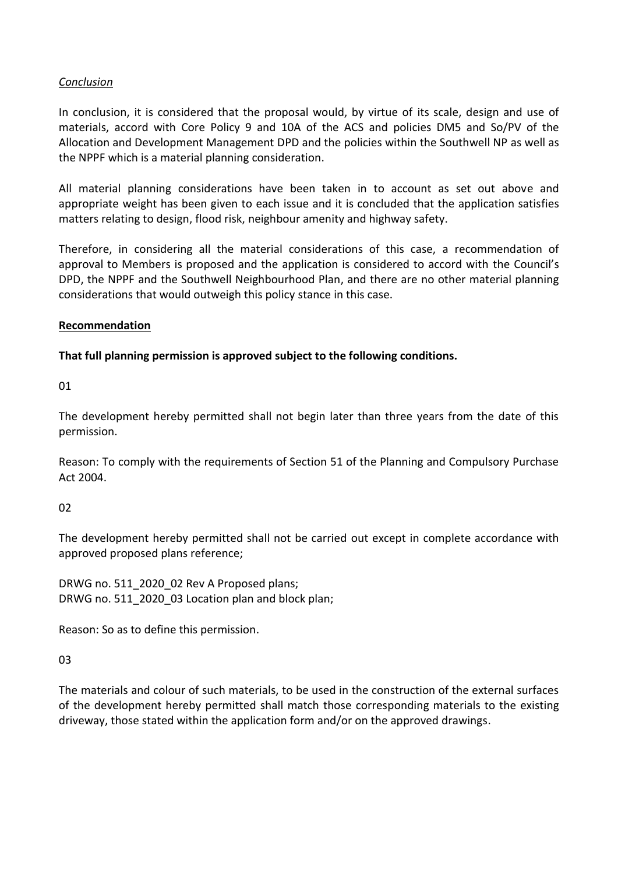# *Conclusion*

In conclusion, it is considered that the proposal would, by virtue of its scale, design and use of materials, accord with Core Policy 9 and 10A of the ACS and policies DM5 and So/PV of the Allocation and Development Management DPD and the policies within the Southwell NP as well as the NPPF which is a material planning consideration.

All material planning considerations have been taken in to account as set out above and appropriate weight has been given to each issue and it is concluded that the application satisfies matters relating to design, flood risk, neighbour amenity and highway safety.

Therefore, in considering all the material considerations of this case, a recommendation of approval to Members is proposed and the application is considered to accord with the Council's DPD, the NPPF and the Southwell Neighbourhood Plan, and there are no other material planning considerations that would outweigh this policy stance in this case.

### **Recommendation**

### **That full planning permission is approved subject to the following conditions.**

01

The development hereby permitted shall not begin later than three years from the date of this permission.

Reason: To comply with the requirements of Section 51 of the Planning and Compulsory Purchase Act 2004.

### 02

The development hereby permitted shall not be carried out except in complete accordance with approved proposed plans reference;

DRWG no. 511\_2020\_02 Rev A Proposed plans; DRWG no. 511\_2020\_03 Location plan and block plan;

Reason: So as to define this permission.

### 03

The materials and colour of such materials, to be used in the construction of the external surfaces of the development hereby permitted shall match those corresponding materials to the existing driveway, those stated within the application form and/or on the approved drawings.